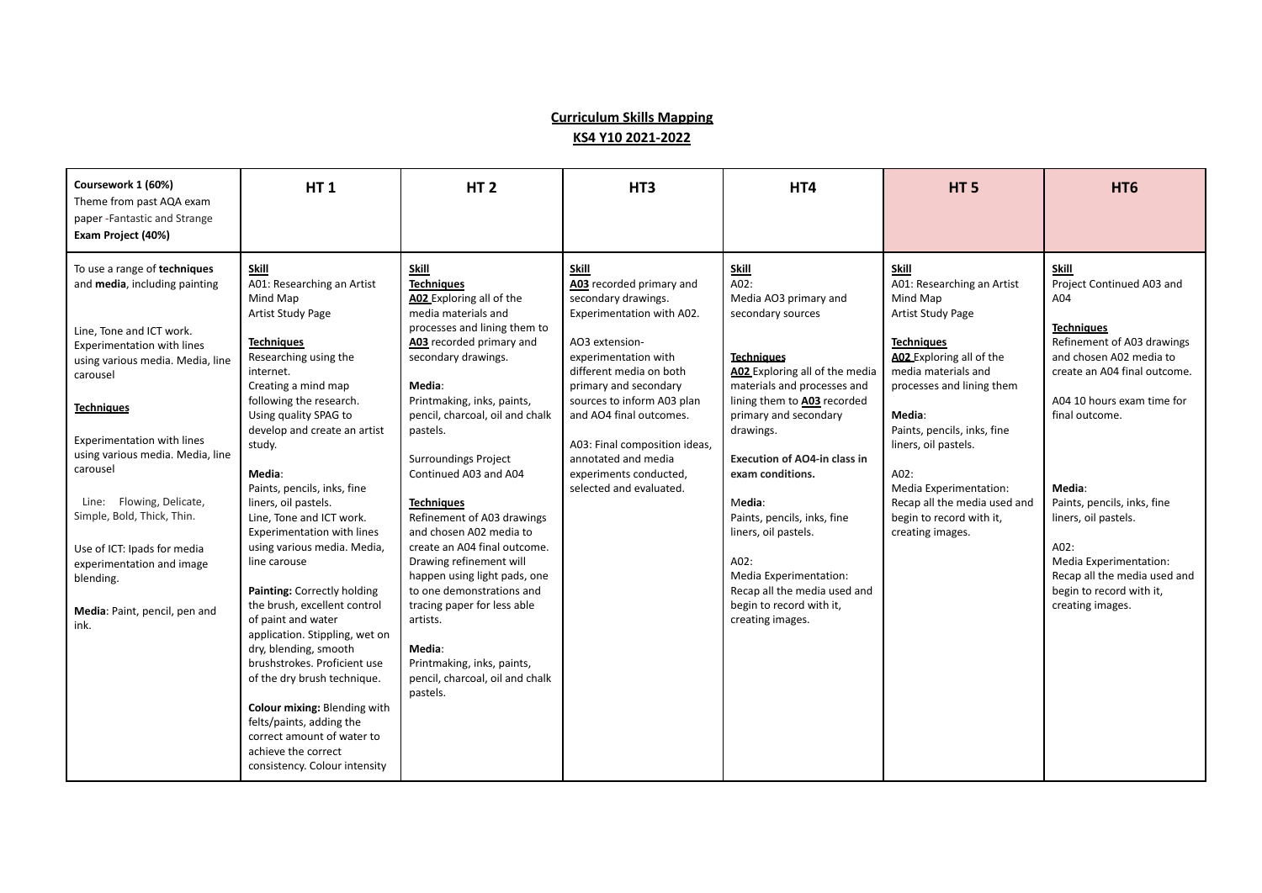## **Curriculum Skills Mapping KS4 Y10 2021-2022**

| Coursework 1 (60%)<br>Theme from past AQA exam<br>paper - Fantastic and Strange                                                                                                                                                                                                                                                                                                                                                                        | <b>HT1</b>                                                                                                                                                                                                                                                                                                                                                                                                                                                                                                                                                                                                                                                                                                                                                                                             | HT <sub>2</sub>                                                                                                                                                                                                                                                                                                                                                                                                                                                                                                                                                                                                                                         | HT <sub>3</sub>                                                                                                                                                                                                                                                                                                                                           | HT4                                                                                                                                                                                                                                                                                                                                                                                                                                                                         | HT <sub>5</sub>                                                                                                                                                                                                                                                                                                                                              | HT <sub>6</sub>                                                                                                                                                                                                                                                                                                                                                                            |
|--------------------------------------------------------------------------------------------------------------------------------------------------------------------------------------------------------------------------------------------------------------------------------------------------------------------------------------------------------------------------------------------------------------------------------------------------------|--------------------------------------------------------------------------------------------------------------------------------------------------------------------------------------------------------------------------------------------------------------------------------------------------------------------------------------------------------------------------------------------------------------------------------------------------------------------------------------------------------------------------------------------------------------------------------------------------------------------------------------------------------------------------------------------------------------------------------------------------------------------------------------------------------|---------------------------------------------------------------------------------------------------------------------------------------------------------------------------------------------------------------------------------------------------------------------------------------------------------------------------------------------------------------------------------------------------------------------------------------------------------------------------------------------------------------------------------------------------------------------------------------------------------------------------------------------------------|-----------------------------------------------------------------------------------------------------------------------------------------------------------------------------------------------------------------------------------------------------------------------------------------------------------------------------------------------------------|-----------------------------------------------------------------------------------------------------------------------------------------------------------------------------------------------------------------------------------------------------------------------------------------------------------------------------------------------------------------------------------------------------------------------------------------------------------------------------|--------------------------------------------------------------------------------------------------------------------------------------------------------------------------------------------------------------------------------------------------------------------------------------------------------------------------------------------------------------|--------------------------------------------------------------------------------------------------------------------------------------------------------------------------------------------------------------------------------------------------------------------------------------------------------------------------------------------------------------------------------------------|
| Exam Project (40%)                                                                                                                                                                                                                                                                                                                                                                                                                                     |                                                                                                                                                                                                                                                                                                                                                                                                                                                                                                                                                                                                                                                                                                                                                                                                        |                                                                                                                                                                                                                                                                                                                                                                                                                                                                                                                                                                                                                                                         |                                                                                                                                                                                                                                                                                                                                                           |                                                                                                                                                                                                                                                                                                                                                                                                                                                                             |                                                                                                                                                                                                                                                                                                                                                              |                                                                                                                                                                                                                                                                                                                                                                                            |
| To use a range of techniques<br>and media, including painting<br>Line, Tone and ICT work.<br>Experimentation with lines<br>using various media. Media, line<br>carousel<br><b>Techniques</b><br>Experimentation with lines<br>using various media. Media, line<br>carousel<br>Line: Flowing, Delicate,<br>Simple, Bold, Thick, Thin.<br>Use of ICT: Ipads for media<br>experimentation and image<br>blending.<br>Media: Paint, pencil, pen and<br>ink. | Skill<br>A01: Researching an Artist<br>Mind Map<br>Artist Study Page<br><b>Techniques</b><br>Researching using the<br>internet.<br>Creating a mind map<br>following the research.<br>Using quality SPAG to<br>develop and create an artist<br>study.<br>Media:<br>Paints, pencils, inks, fine<br>liners, oil pastels.<br>Line, Tone and ICT work.<br><b>Experimentation with lines</b><br>using various media. Media,<br>line carouse<br>Painting: Correctly holding<br>the brush, excellent control<br>of paint and water<br>application. Stippling, wet on<br>dry, blending, smooth<br>brushstrokes. Proficient use<br>of the dry brush technique.<br>Colour mixing: Blending with<br>felts/paints, adding the<br>correct amount of water to<br>achieve the correct<br>consistency. Colour intensity | Skill<br><b>Techniques</b><br>A02 Exploring all of the<br>media materials and<br>processes and lining them to<br>A03 recorded primary and<br>secondary drawings.<br>Media:<br>Printmaking, inks, paints,<br>pencil, charcoal, oil and chalk<br>pastels.<br><b>Surroundings Project</b><br>Continued A03 and A04<br><b>Techniques</b><br>Refinement of A03 drawings<br>and chosen A02 media to<br>create an A04 final outcome.<br>Drawing refinement will<br>happen using light pads, one<br>to one demonstrations and<br>tracing paper for less able<br>artists.<br>Media:<br>Printmaking, inks, paints,<br>pencil, charcoal, oil and chalk<br>pastels. | Skill<br>A03 recorded primary and<br>secondary drawings.<br>Experimentation with A02.<br>AO3 extension-<br>experimentation with<br>different media on both<br>primary and secondary<br>sources to inform A03 plan<br>and AO4 final outcomes.<br>A03: Final composition ideas,<br>annotated and media<br>experiments conducted,<br>selected and evaluated. | <u>Skill</u><br>A02:<br>Media AO3 primary and<br>secondary sources<br><b>Techniques</b><br>A02 Exploring all of the media<br>materials and processes and<br>lining them to A03 recorded<br>primary and secondary<br>drawings.<br><b>Execution of AO4-in class in</b><br>exam conditions.<br>Media:<br>Paints, pencils, inks, fine<br>liners, oil pastels.<br>A02:<br>Media Experimentation:<br>Recap all the media used and<br>begin to record with it,<br>creating images. | Skill<br>A01: Researching an Artist<br>Mind Map<br>Artist Study Page<br><b>Techniques</b><br>A02 Exploring all of the<br>media materials and<br>processes and lining them<br>Media:<br>Paints, pencils, inks, fine<br>liners, oil pastels.<br>A02:<br>Media Experimentation:<br>Recap all the media used and<br>begin to record with it,<br>creating images. | Skill<br>Project Continued A03 and<br>A04<br><b>Techniques</b><br>Refinement of A03 drawings<br>and chosen A02 media to<br>create an A04 final outcome.<br>A04 10 hours exam time for<br>final outcome.<br>Media:<br>Paints, pencils, inks, fine<br>liners, oil pastels.<br>A02:<br>Media Experimentation:<br>Recap all the media used and<br>begin to record with it,<br>creating images. |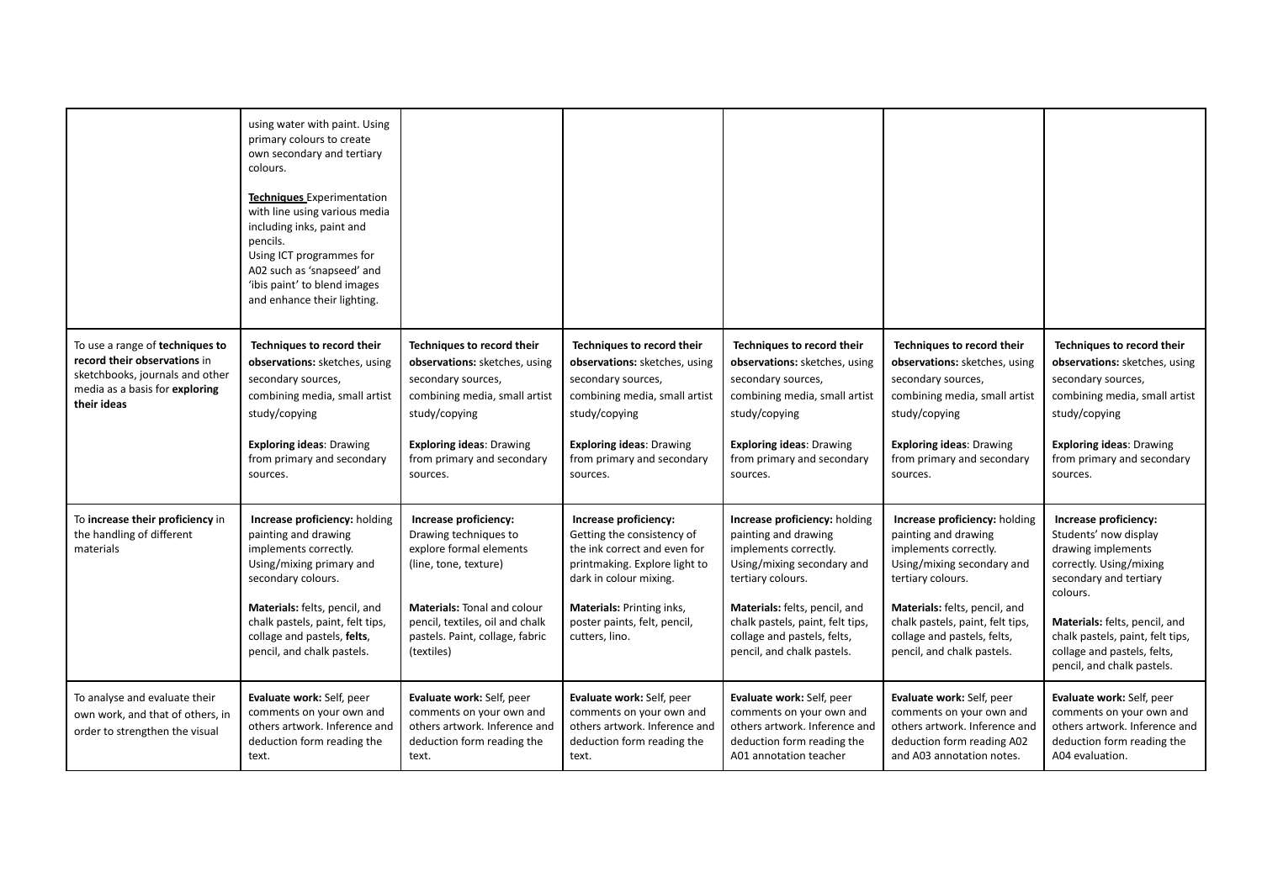|                                                                                                                                                     | using water with paint. Using<br>primary colours to create<br>own secondary and tertiary<br>colours.<br><b>Techniques</b> Experimentation<br>with line using various media<br>including inks, paint and<br>pencils.<br>Using ICT programmes for<br>A02 such as 'snapseed' and<br>'ibis paint' to blend images<br>and enhance their lighting. |                                                                                                                                                                                                                              |                                                                                                                                                                                                                                      |                                                                                                                                                                                                                                                                     |                                                                                                                                                                                                                                                                     |                                                                                                                                                                                                                                                                         |
|-----------------------------------------------------------------------------------------------------------------------------------------------------|----------------------------------------------------------------------------------------------------------------------------------------------------------------------------------------------------------------------------------------------------------------------------------------------------------------------------------------------|------------------------------------------------------------------------------------------------------------------------------------------------------------------------------------------------------------------------------|--------------------------------------------------------------------------------------------------------------------------------------------------------------------------------------------------------------------------------------|---------------------------------------------------------------------------------------------------------------------------------------------------------------------------------------------------------------------------------------------------------------------|---------------------------------------------------------------------------------------------------------------------------------------------------------------------------------------------------------------------------------------------------------------------|-------------------------------------------------------------------------------------------------------------------------------------------------------------------------------------------------------------------------------------------------------------------------|
| To use a range of techniques to<br>record their observations in<br>sketchbooks, journals and other<br>media as a basis for exploring<br>their ideas | Techniques to record their<br>observations: sketches, using<br>secondary sources,<br>combining media, small artist<br>study/copying<br><b>Exploring ideas: Drawing</b><br>from primary and secondary<br>sources.                                                                                                                             | Techniques to record their<br>observations: sketches, using<br>secondary sources,<br>combining media, small artist<br>study/copying<br><b>Exploring ideas: Drawing</b><br>from primary and secondary<br>sources.             | Techniques to record their<br>observations: sketches, using<br>secondary sources,<br>combining media, small artist<br>study/copying<br><b>Exploring ideas: Drawing</b><br>from primary and secondary<br>sources.                     | Techniques to record their<br>observations: sketches, using<br>secondary sources,<br>combining media, small artist<br>study/copying<br><b>Exploring ideas: Drawing</b><br>from primary and secondary<br>sources.                                                    | Techniques to record their<br>observations: sketches, using<br>secondary sources,<br>combining media, small artist<br>study/copying<br><b>Exploring ideas: Drawing</b><br>from primary and secondary<br>sources.                                                    | Techniques to record their<br>observations: sketches, using<br>secondary sources,<br>combining media, small artist<br>study/copying<br><b>Exploring ideas: Drawing</b><br>from primary and secondary<br>sources.                                                        |
| To increase their proficiency in<br>the handling of different<br>materials                                                                          | Increase proficiency: holding<br>painting and drawing<br>implements correctly.<br>Using/mixing primary and<br>secondary colours.<br>Materials: felts, pencil, and<br>chalk pastels, paint, felt tips,<br>collage and pastels, felts,<br>pencil, and chalk pastels.                                                                           | Increase proficiency:<br>Drawing techniques to<br>explore formal elements<br>(line, tone, texture)<br><b>Materials: Tonal and colour</b><br>pencil, textiles, oil and chalk<br>pastels. Paint, collage, fabric<br>(textiles) | Increase proficiency:<br>Getting the consistency of<br>the ink correct and even for<br>printmaking. Explore light to<br>dark in colour mixing.<br><b>Materials: Printing inks,</b><br>poster paints, felt, pencil,<br>cutters, lino. | Increase proficiency: holding<br>painting and drawing<br>implements correctly.<br>Using/mixing secondary and<br>tertiary colours.<br>Materials: felts, pencil, and<br>chalk pastels, paint, felt tips,<br>collage and pastels, felts,<br>pencil, and chalk pastels. | Increase proficiency: holding<br>painting and drawing<br>implements correctly.<br>Using/mixing secondary and<br>tertiary colours.<br>Materials: felts, pencil, and<br>chalk pastels, paint, felt tips,<br>collage and pastels, felts,<br>pencil, and chalk pastels. | Increase proficiency:<br>Students' now display<br>drawing implements<br>correctly. Using/mixing<br>secondary and tertiary<br>colours.<br>Materials: felts, pencil, and<br>chalk pastels, paint, felt tips,<br>collage and pastels, felts,<br>pencil, and chalk pastels. |
| To analyse and evaluate their<br>own work, and that of others, in<br>order to strengthen the visual                                                 | Evaluate work: Self, peer<br>comments on your own and<br>others artwork. Inference and<br>deduction form reading the<br>text.                                                                                                                                                                                                                | Evaluate work: Self, peer<br>comments on your own and<br>others artwork. Inference and<br>deduction form reading the<br>text.                                                                                                | Evaluate work: Self, peer<br>comments on your own and<br>others artwork. Inference and<br>deduction form reading the<br>text.                                                                                                        | Evaluate work: Self, peer<br>comments on your own and<br>others artwork. Inference and<br>deduction form reading the<br>A01 annotation teacher                                                                                                                      | Evaluate work: Self, peer<br>comments on your own and<br>others artwork. Inference and<br>deduction form reading A02<br>and A03 annotation notes.                                                                                                                   | Evaluate work: Self, peer<br>comments on your own and<br>others artwork. Inference and<br>deduction form reading the<br>A04 evaluation.                                                                                                                                 |